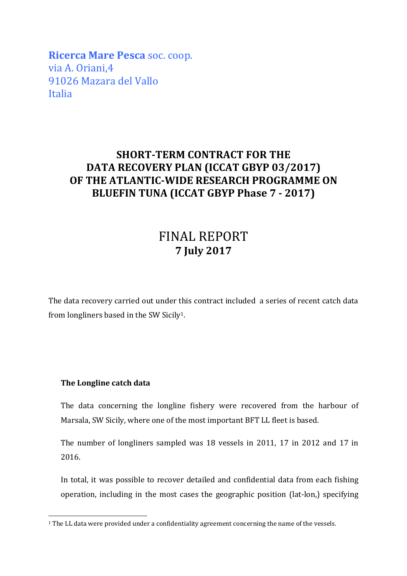**Ricerca Mare Pesca** soc. coop. via A. Oriani,4 91026 Mazara del Vallo Italia

## **SHORT-TERM CONTRACT FOR THE DATA RECOVERY PLAN (ICCAT GBYP 03/2017) OF THE ATLANTIC-WIDE RESEARCH PROGRAMME ON BLUEFIN TUNA (ICCAT GBYP Phase 7 - 2017)**

## FINAL REPORT **7 July 2017**

The data recovery carried out under this contract included a series of recent catch data from longliners based in the SW Sicily1.

## **The Longline catch data**

The data concerning the longline fishery were recovered from the harbour of Marsala, SW Sicily, where one of the most important BFT LL fleet is based.

The number of longliners sampled was 18 vessels in 2011, 17 in 2012 and 17 in 2016.

In total, it was possible to recover detailed and confidential data from each fishing operation, including in the most cases the geographic position (lat-lon,) specifying

<sup>&</sup>lt;sup>1</sup> The LL data were provided under a confidentiality agreement concerning the name of the vessels.